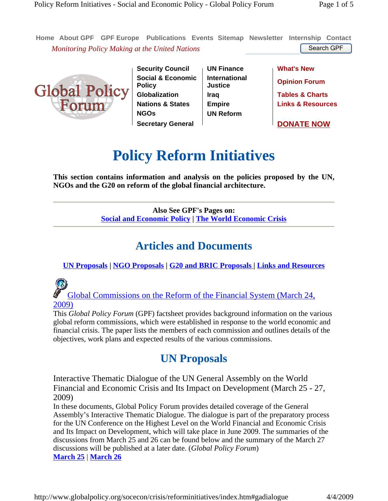**Home About GPF GPF Europe Publications Events Sitemap Newsletter Internship Contact** *Monitoring Policy Making at the United Nations* Search GPF Search GPF



**Security Council** | UN Finance | What's New **Social & Economic Policy Globalization Iraq Tables & Charts Nations & States Empire Links & Resources NGOs UN Reform Secretary General DONATE NOW** 

**International Justice Opinion Forum**

# **Policy Reform Initiatives**

**This section contains information and analysis on the policies proposed by the UN, NGOs and the G20 on reform of the global financial architecture.** 

> **Also See GPF's Pages on: Social and Economic Policy | The World Economic Crisis**

### **Articles and Documents**

**UN Proposals | NGO Proposals | G20 and BRIC Proposals | Links and Resources**

Global Commissions on the Reform of the Financial System (March 24, 2009)

This *Global Policy Forum* (GPF) factsheet provides background information on the various global reform commissions, which were established in response to the world economic and financial crisis. The paper lists the members of each commission and outlines details of the objectives, work plans and expected results of the various commissions.

## **UN Proposals**

Interactive Thematic Dialogue of the UN General Assembly on the World Financial and Economic Crisis and Its Impact on Development (March 25 - 27, 2009)

In these documents, Global Policy Forum provides detailed coverage of the General Assembly's Interactive Thematic Dialogue. The dialogue is part of the preparatory process for the UN Conference on the Highest Level on the World Financial and Economic Crisis and Its Impact on Development, which will take place in June 2009. The summaries of the discussions from March 25 and 26 can be found below and the summary of the March 27 discussions will be published at a later date. (*Global Policy Forum*) **March 25** | **March 26**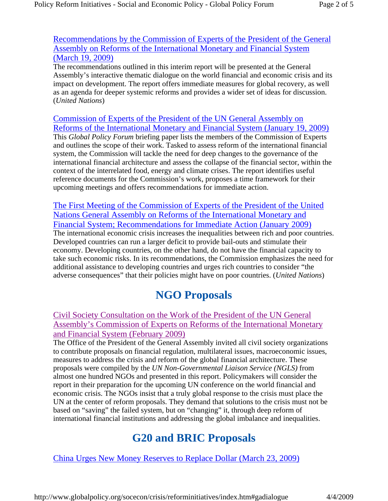Recommendations by the Commission of Experts of the President of the General Assembly on Reforms of the International Monetary and Financial System (March 19, 2009)

The recommendations outlined in this interim report will be presented at the General Assembly's interactive thematic dialogue on the world financial and economic crisis and its impact on development. The report offers immediate measures for global recovery, as well as an agenda for deeper systemic reforms and provides a wider set of ideas for discussion. (*United Nations*)

Commission of Experts of the President of the UN General Assembly on Reforms of the International Monetary and Financial System (January 19, 2009) This *Global Policy Forum* briefing paper lists the members of the Commission of Experts and outlines the scope of their work. Tasked to assess reform of the international financial system, the Commission will tackle the need for deep changes to the governance of the international financial architecture and assess the collapse of the financial sector, within the context of the interrelated food, energy and climate crises. The report identifies useful reference documents for the Commission's work, proposes a time framework for their upcoming meetings and offers recommendations for immediate action.

The First Meeting of the Commission of Experts of the President of the United Nations General Assembly on Reforms of the International Monetary and Financial System; Recommendations for Immediate Action (January 2009) The international economic crisis increases the inequalities between rich and poor countries. Developed countries can run a larger deficit to provide bail-outs and stimulate their economy. Developing countries, on the other hand, do not have the financial capacity to take such economic risks. In its recommendations, the Commission emphasizes the need for additional assistance to developing countries and urges rich countries to consider "the adverse consequences" that their policies might have on poor countries. (*United Nations*)

### **NGO Proposals**

Civil Society Consultation on the Work of the President of the UN General Assembly's Commission of Experts on Reforms of the International Monetary and Financial System (February 2009)

The Office of the President of the General Assembly invited all civil society organizations to contribute proposals on financial regulation, multilateral issues, macroeconomic issues, measures to address the crisis and reform of the global financial architecture. These proposals were compiled by the *UN Non-Governmental Liaison Service (NGLS)* from almost one hundred NGOs and presented in this report. Policymakers will consider the report in their preparation for the upcoming UN conference on the world financial and economic crisis. The NGOs insist that a truly global response to the crisis must place the UN at the center of reform proposals. They demand that solutions to the crisis must not be based on "saving" the failed system, but on "changing" it, through deep reform of international financial institutions and addressing the global imbalance and inequalities.

### **G20 and BRIC Proposals**

China Urges New Money Reserves to Replace Dollar (March 23, 2009)

http://www.globalpolicy.org/socecon/crisis/reforminitiatives/index.htm#gadialogue 4/4/2009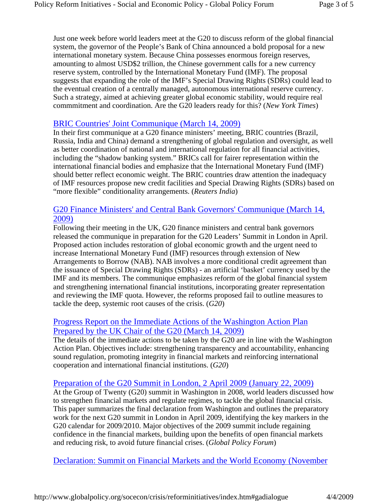Just one week before world leaders meet at the G20 to discuss reform of the global financial system, the governor of the People's Bank of China announced a bold proposal for a new international monetary system. Because China possesses enormous foreign reserves, amounting to almost USD\$2 trillion, the Chinese government calls for a new currency reserve system, controlled by the International Monetary Fund (IMF). The proposal suggests that expanding the role of the IMF's Special Drawing Rights (SDRs) could lead to the eventual creation of a centrally managed, autonomous international reserve currency. Such a strategy, aimed at achieving greater global economic stability, would require real commmitment and coordination. Are the G20 leaders ready for this? (*New York Times*)

#### BRIC Countries' Joint Communique (March 14, 2009)

In their first communique at a G20 finance ministers' meeting, BRIC countries (Brazil, Russia, India and China) demand a strengthening of global regulation and oversight, as well as better coordination of national and international regulation for all financial activities, including the "shadow banking system." BRICs call for fairer representation within the international financial bodies and emphasize that the International Monetary Fund (IMF) should better reflect economic weight. The BRIC countries draw attention the inadequacy of IMF resources propose new credit facilities and Special Drawing Rights (SDRs) based on "more flexible" conditionality arrangements. (*Reuters India*)

### G20 Finance Ministers' and Central Bank Governors' Communique (March 14, 2009)

Following their meeting in the UK, G20 finance ministers and central bank governors released the communique in preparation for the G20 Leaders' Summit in London in April. Proposed action includes restoration of global economic growth and the urgent need to increase International Monetary Fund (IMF) resources through extension of New Arrangements to Borrow (NAB). NAB involves a more conditional credit agreement than the issuance of Special Drawing Rights (SDRs) - an artificial 'basket' currency used by the IMF and its members. The communique emphasizes reform of the global financial system and strengthening international financial institutions, incorporating greater representation and reviewing the IMF quota. However, the reforms proposed fail to outline measures to tackle the deep, systemic root causes of the crisis. (*G20*)

### Progress Report on the Immediate Actions of the Washington Action Plan Prepared by the UK Chair of the G20 (March 14, 2009)

The details of the immediate actions to be taken by the G20 are in line with the Washington Action Plan. Objectives include: strengthening transparency and accountability, enhancing sound regulation, promoting integrity in financial markets and reinforcing international cooperation and international financial institutions. (*G20*)

### Preparation of the G20 Summit in London, 2 April 2009 (January 22, 2009)

At the Group of Twenty (G20) summit in Washington in 2008, world leaders discussed how to strengthen financial markets and regulate regimes, to tackle the global financial crisis. This paper summarizes the final declaration from Washington and outlines the preparatory work for the next G20 summit in London in April 2009, identifying the key markers in the G20 calendar for 2009/2010. Major objectives of the 2009 summit include regaining confidence in the financial markets, building upon the benefits of open financial markets and reducing risk, to avoid future financial crises. (*Global Policy Forum*)

Declaration: Summit on Financial Markets and the World Economy (November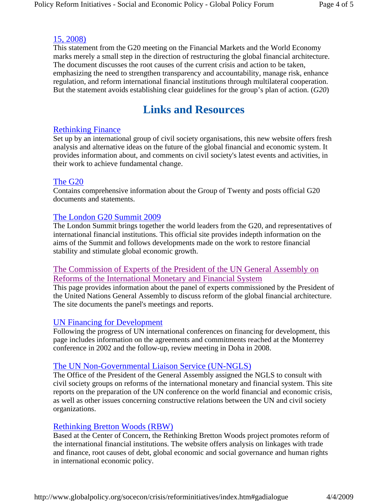### 15, 2008)

This statement from the G20 meeting on the Financial Markets and the World Economy marks merely a small step in the direction of restructuring the global financial architecture. The document discusses the root causes of the current crisis and action to be taken, emphasizing the need to strengthen transparency and accountability, manage risk, enhance regulation, and reform international financial institutions through multilateral cooperation. But the statement avoids establishing clear guidelines for the group's plan of action. (*G20*)

### **Links and Resources**

### Rethinking Finance

Set up by an international group of civil society organisations, this new website offers fresh analysis and alternative ideas on the future of the global financial and economic system. It provides information about, and comments on civil society's latest events and activities, in their work to achieve fundamental change.

#### The G20

Contains comprehensive information about the Group of Twenty and posts official G20 documents and statements.

### The London G20 Summit 2009

The London Summit brings together the world leaders from the G20, and representatives of international financial institutions. This official site provides indepth information on the aims of the Summit and follows developments made on the work to restore financial stability and stimulate global economic growth.

### The Commission of Experts of the President of the UN General Assembly on Reforms of the International Monetary and Financial System

This page provides information about the panel of experts commissioned by the President of the United Nations General Assembly to discuss reform of the global financial architecture. The site documents the panel's meetings and reports.

### UN Financing for Development

Following the progress of UN international conferences on financing for development, this page includes information on the agreements and commitments reached at the Monterrey conference in 2002 and the follow-up, review meeting in Doha in 2008.

### The UN Non-Governmental Liaison Service (UN-NGLS)

The Office of the President of the General Assembly assigned the NGLS to consult with civil society groups on reforms of the international monetary and financial system. This site reports on the preparation of the UN conference on the world financial and economic crisis, as well as other issues concerning constructive relations between the UN and civil society organizations.

### Rethinking Bretton Woods (RBW)

Based at the Center of Concern, the Rethinking Bretton Woods project promotes reform of the international financial institutions. The website offers analysis on linkages with trade and finance, root causes of debt, global economic and social governance and human rights in international economic policy.